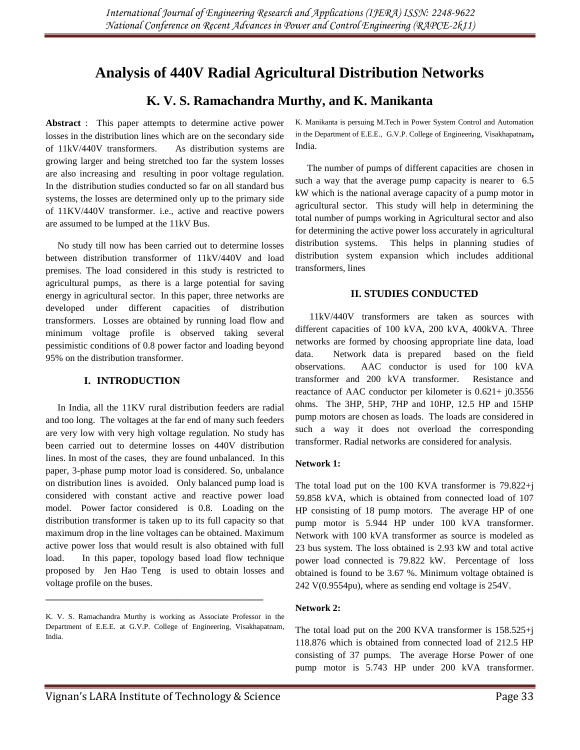# **Analysis of 440V Radial Agricultural Distribution Networks**

## **K. V. S. Ramachandra Murthy, and K. Manikanta**

**Abstract** : This paper attempts to determine active power losses in the distribution lines which are on the secondary side of 11kV/440V transformers. As distribution systems are growing larger and being stretched too far the system losses are also increasing and resulting in poor voltage regulation. In the distribution studies conducted so far on all standard bus systems, the losses are determined only up to the primary side of 11KV/440V transformer. i.e., active and reactive powers are assumed to be lumped at the 11kV Bus.

 No study till now has been carried out to determine losses between distribution transformer of 11kV/440V and load premises. The load considered in this study is restricted to agricultural pumps, as there is a large potential for saving energy in agricultural sector. In this paper, three networks are developed under different capacities of distribution transformers. Losses are obtained by running load flow and minimum voltage profile is observed taking several pessimistic conditions of 0.8 power factor and loading beyond 95% on the distribution transformer.

## **I. INTRODUCTION**

 In India, all the 11KV rural distribution feeders are radial and too long. The voltages at the far end of many such feeders are very low with very high voltage regulation. No study has been carried out to determine losses on 440V distribution lines. In most of the cases, they are found unbalanced. In this paper, 3-phase pump motor load is considered. So, unbalance on distribution lines is avoided. Only balanced pump load is considered with constant active and reactive power load model. Power factor considered is 0.8. Loading on the distribution transformer is taken up to its full capacity so that maximum drop in the line voltages can be obtained. Maximum active power loss that would result is also obtained with full load. In this paper, topology based load flow technique proposed by Jen Hao Teng is used to obtain losses and voltage profile on the buses.

**\_\_\_\_\_\_\_\_\_\_\_\_\_\_\_\_\_\_\_\_\_\_\_\_\_\_\_\_\_\_\_\_\_\_\_\_\_\_\_\_\_\_\_\_\_\_**

K. Manikanta is persuing M.Tech in Power System Control and Automation in the Department of E.E.E., G.V.P. College of Engineering, Visakhapatnam**,**  India.

 The number of pumps of different capacities are chosen in such a way that the average pump capacity is nearer to 6.5 kW which is the national average capacity of a pump motor in agricultural sector. This study will help in determining the total number of pumps working in Agricultural sector and also for determining the active power loss accurately in agricultural distribution systems. This helps in planning studies of distribution system expansion which includes additional transformers, lines

#### **II. STUDIES CONDUCTED**

 11kV/440V transformers are taken as sources with different capacities of 100 kVA, 200 kVA, 400kVA. Three networks are formed by choosing appropriate line data, load data. Network data is prepared based on the field observations. AAC conductor is used for 100 kVA transformer and 200 kVA transformer. Resistance and reactance of AAC conductor per kilometer is 0.621+ j0.3556 ohms. The 3HP, 5HP, 7HP and 10HP, 12.5 HP and 15HP pump motors are chosen as loads. The loads are considered in such a way it does not overload the corresponding transformer. Radial networks are considered for analysis.

#### **Network 1:**

The total load put on the 100 KVA transformer is 79.822+j 59.858 kVA, which is obtained from connected load of 107 HP consisting of 18 pump motors. The average HP of one pump motor is 5.944 HP under 100 kVA transformer. Network with 100 kVA transformer as source is modeled as 23 bus system. The loss obtained is 2.93 kW and total active power load connected is 79.822 kW. Percentage of loss obtained is found to be 3.67 %. Minimum voltage obtained is 242 V(0.9554pu), where as sending end voltage is 254V.

#### **Network 2:**

The total load put on the 200 KVA transformer is 158.525+j 118.876 which is obtained from connected load of 212.5 HP consisting of 37 pumps. The average Horse Power of one pump motor is 5.743 HP under 200 kVA transformer.

K. V. S. Ramachandra Murthy is working as Associate Professor in the Department of E.E.E. at G.V.P. College of Engineering, Visakhapatnam, India.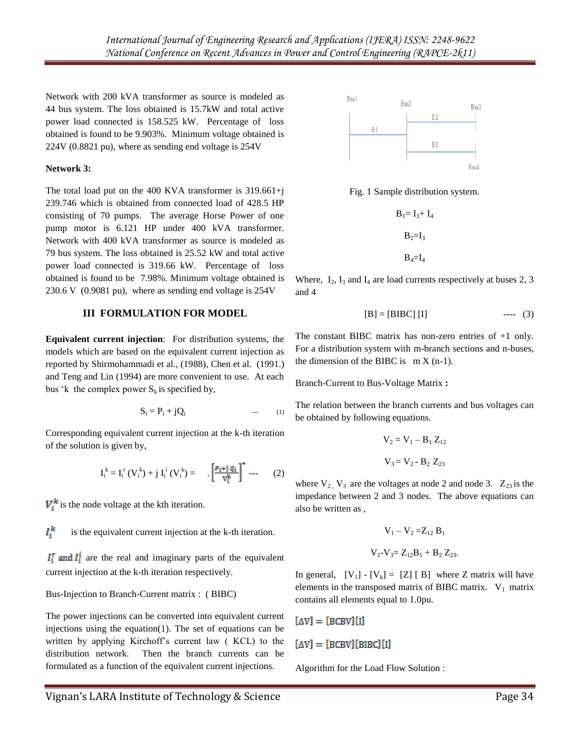Network with 200 kVA transformer as source is modeled as 44 bus system. The loss obtained is 15.7kW and total active power load connected is 158.525 kW. Percentage of loss obtained is found to be 9.903%. Minimum voltage obtained is 224V (0.8821 pu), where as sending end voltage is 254V

#### **Network 3:**

The total load put on the 400 KVA transformer is 319.661+j 239.746 which is obtained from connected load of 428.5 HP consisting of 70 pumps. The average Horse Power of one pump motor is 6.121 HP under 400 kVA transformer. Network with 400 kVA transformer as source is modeled as 79 bus system. The loss obtained is 25.52 kW and total active power load connected is 319.66 kW. Percentage of loss obtained is found to be 7.98%. Minimum voltage obtained is 230.6 V (0.9081 pu), where as sending end voltage is 254V

#### **III FORMULATION FOR MODEL**

**Equivalent current injection**: For distribution systems, the models which are based on the equivalent current injection as reported by Shirmohammadi et al., (1988), Chen et al. (1991.) and Teng and Lin (1994) are more convenient to use. At each bus 'k the complex power  $S_k$  is specified by,

$$
S_i = P_i + jQ_i \tag{1}
$$

Corresponding equivalent current injection at the k-th iteration of the solution is given by,

$$
I_i^k = I_i^r (V_i^k) + j I_i^i (V_i^k) = \left[ \frac{P_{i} + j \varrho_{i}}{V_i^k} \right]^* \cdots (2)
$$

 $V_i^k$  is the node voltage at the kth iteration.

 $I_i^k$ is the equivalent current injection at the k-th iteration.

 $I_i^r$  and  $I_i^i$  are the real and imaginary parts of the equivalent current injection at the k-th iteration respectively.

#### Bus-Injection to Branch-Current matrix : ( BIBC)

The power injections can be converted into equivalent current injections using the equation(1). The set of equations can be written by applying Kirchoff"s current law ( KCL) to the distribution network. Then the branch currents can be formulated as a function of the equivalent current injections.



Fig. 1 Sample distribution system.

 $B_1= I_3+ I_4$  $B_2=I_3$  $B_4 = I_4$ 

Where,  $I_2$ ,  $I_3$  and  $I_4$  are load currents respectively at buses 2, 3 and 4

$$
[B] = [BIBC] [I] \qquad \qquad --- \quad (3)
$$

The constant BIBC matrix has non-zero entries of +1 only. For a distribution system with m-branch sections and n-buses, the dimension of the BIBC is  $m X (n-1)$ .

Branch-Current to Bus-Voltage Matrix **:**

The relation between the branch currents and bus voltages can be obtained by following equations.

$$
V_2 = V_1 - B_1 Z_{12}
$$
  

$$
V_3 = V_2 - B_2 Z_{23}
$$

where  $V_2$ ,  $V_3$  are the voltages at node 2 and node 3.  $Z_{23}$  is the impedance between 2 and 3 nodes. The above equations can also be written as ,

$$
V_1 - V_2 = Z_{12} B_1
$$
  

$$
V_1 - V_3 = Z_{12} B_1 + B_2 Z_{23}.
$$

In general,  $[V_1] - [V_k] = [Z] [B]$  where Z matrix will have elements in the transposed matrix of BIBC matrix.  $V_1$  matrix contains all elements equal to 1.0pu.

$$
[\Delta V] = [BCBV][I]
$$

$$
[\Delta V] = [BCBV][BIBC][I]
$$

Algorithm for the Load Flow Solution :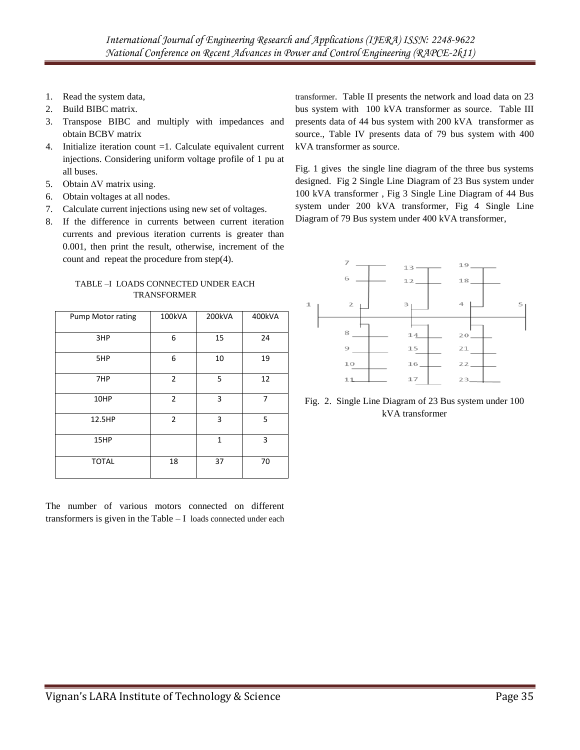- 1. Read the system data,
- 2. Build BIBC matrix.
- 3. Transpose BIBC and multiply with impedances and obtain BCBV matrix
- 4. Initialize iteration count =1. Calculate equivalent current injections. Considering uniform voltage profile of 1 pu at all buses.
- 5. Obtain ∆V matrix using.
- 6. Obtain voltages at all nodes.
- 7. Calculate current injections using new set of voltages.
- 8. If the difference in currents between current iteration currents and previous iteration currents is greater than 0.001, then print the result, otherwise, increment of the count and repeat the procedure from step(4).

TABLE –I LOADS CONNECTED UNDER EACH TRANSFORMER

| Pump Motor rating | 100kVA         | 200kVA       | 400kVA |
|-------------------|----------------|--------------|--------|
| 3HP               | 6              | 15           | 24     |
| 5HP               | 6              | 10           | 19     |
| 7HP               | $\overline{2}$ | 5            | 12     |
| 10HP              | $\overline{2}$ | 3            | 7      |
| 12.5HP            | $\overline{2}$ | 3            | 5      |
| 15HP              |                | $\mathbf{1}$ | 3      |
| <b>TOTAL</b>      | 18             | 37           | 70     |

The number of various motors connected on different transformers is given in the Table – I loads connected under each transformer. Table II presents the network and load data on 23 bus system with 100 kVA transformer as source. Table III presents data of 44 bus system with 200 kVA transformer as source., Table IV presents data of 79 bus system with 400 kVA transformer as source.

Fig. 1 gives the single line diagram of the three bus systems designed. Fig 2 Single Line Diagram of 23 Bus system under 100 kVA transformer , Fig 3 Single Line Diagram of 44 Bus system under 200 kVA transformer, Fig 4 Single Line Diagram of 79 Bus system under 400 kVA transformer,



Fig. 2. Single Line Diagram of 23 Bus system under 100 kVA transformer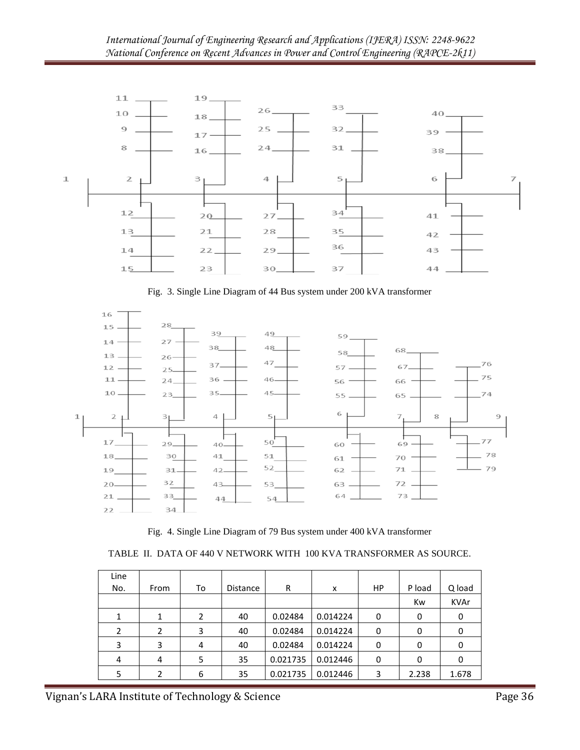

Fig. 3. Single Line Diagram of 44 Bus system under 200 kVA transformer



Fig. 4. Single Line Diagram of 79 Bus system under 400 kVA transformer

|  | TABLE II. DATA OF 440 V NETWORK WITH 100 KVA TRANSFORMER AS SOURCE. |  |  |
|--|---------------------------------------------------------------------|--|--|
|  |                                                                     |  |  |

| Line<br>No.    | From | To | Distance | R        | x        | HP | P load | Q load      |
|----------------|------|----|----------|----------|----------|----|--------|-------------|
|                |      |    |          |          |          |    | Kw     | <b>KVAr</b> |
|                |      | 2  | 40       | 0.02484  | 0.014224 | 0  | 0      | 0           |
| $\overline{2}$ | 2    | 3  | 40       | 0.02484  | 0.014224 | 0  | 0      | 0           |
| 3              | 3    | 4  | 40       | 0.02484  | 0.014224 | 0  | 0      | 0           |
| 4              | 4    | 5  | 35       | 0.021735 | 0.012446 | 0  | 0      |             |
| 5              | 2    | 6  | 35       | 0.021735 | 0.012446 | 3  | 2.238  | 1.678       |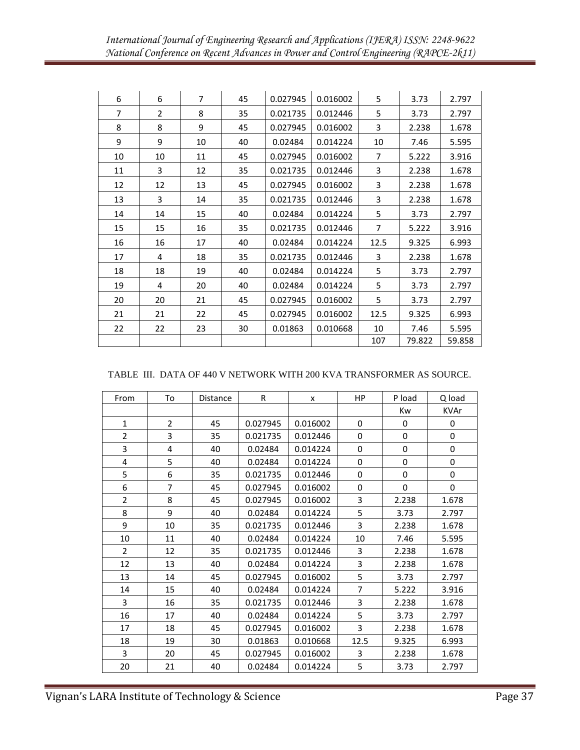| 6              | 6              | $\overline{7}$ | 45 | 0.027945 | 0.016002 | 5              | 3.73   | 2.797  |
|----------------|----------------|----------------|----|----------|----------|----------------|--------|--------|
| $\overline{7}$ | $\overline{2}$ | 8              | 35 | 0.021735 | 0.012446 | 5              | 3.73   | 2.797  |
| 8              | 8              | 9              | 45 | 0.027945 | 0.016002 | 3              | 2.238  | 1.678  |
| 9              | 9              | 10             | 40 | 0.02484  | 0.014224 | 10             | 7.46   | 5.595  |
| 10             | 10             | 11             | 45 | 0.027945 | 0.016002 | $\overline{7}$ | 5.222  | 3.916  |
| 11             | 3              | 12             | 35 | 0.021735 | 0.012446 | 3              | 2.238  | 1.678  |
| 12             | 12             | 13             | 45 | 0.027945 | 0.016002 | 3              | 2.238  | 1.678  |
| 13             | 3              | 14             | 35 | 0.021735 | 0.012446 | 3              | 2.238  | 1.678  |
| 14             | 14             | 15             | 40 | 0.02484  | 0.014224 | 5              | 3.73   | 2.797  |
| 15             | 15             | 16             | 35 | 0.021735 | 0.012446 | $\overline{7}$ | 5.222  | 3.916  |
| 16             | 16             | 17             | 40 | 0.02484  | 0.014224 | 12.5           | 9.325  | 6.993  |
| 17             | 4              | 18             | 35 | 0.021735 | 0.012446 | 3              | 2.238  | 1.678  |
| 18             | 18             | 19             | 40 | 0.02484  | 0.014224 | 5              | 3.73   | 2.797  |
| 19             | 4              | 20             | 40 | 0.02484  | 0.014224 | 5              | 3.73   | 2.797  |
| 20             | 20             | 21             | 45 | 0.027945 | 0.016002 | 5              | 3.73   | 2.797  |
| 21             | 21             | 22             | 45 | 0.027945 | 0.016002 | 12.5           | 9.325  | 6.993  |
| 22             | 22             | 23             | 30 | 0.01863  | 0.010668 | 10             | 7.46   | 5.595  |
|                |                |                |    |          |          | 107            | 79.822 | 59.858 |

### TABLE III. DATA OF 440 V NETWORK WITH 200 KVA TRANSFORMER AS SOURCE.

| From           | To             | <b>Distance</b> | $\mathsf R$ | X        | <b>HP</b>      | P load      | Q load      |
|----------------|----------------|-----------------|-------------|----------|----------------|-------------|-------------|
|                |                |                 |             |          |                | Kw          | <b>KVAr</b> |
| $\mathbf{1}$   | $\overline{2}$ | 45              | 0.027945    | 0.016002 | $\mathbf 0$    | 0           | 0           |
| $\overline{2}$ | 3              | 35              | 0.021735    | 0.012446 | 0              | 0           | 0           |
| 3              | 4              | 40              | 0.02484     | 0.014224 | $\Omega$       | 0           | 0           |
| 4              | 5              | 40              | 0.02484     | 0.014224 | $\Omega$       | 0           | 0           |
| 5              | 6              | 35              | 0.021735    | 0.012446 | $\mathbf 0$    | $\mathbf 0$ | 0           |
| 6              | $\overline{7}$ | 45              | 0.027945    | 0.016002 | $\Omega$       | $\Omega$    | 0           |
| $\overline{2}$ | 8              | 45              | 0.027945    | 0.016002 | 3              | 2.238       | 1.678       |
| 8              | 9              | 40              | 0.02484     | 0.014224 | 5              | 3.73        | 2.797       |
| 9              | 10             | 35              | 0.021735    | 0.012446 | 3              | 2.238       | 1.678       |
| 10             | 11             | 40              | 0.02484     | 0.014224 | 10             | 7.46        | 5.595       |
| $\overline{2}$ | 12             | 35              | 0.021735    | 0.012446 | 3              | 2.238       | 1.678       |
| 12             | 13             | 40              | 0.02484     | 0.014224 | 3              | 2.238       | 1.678       |
| 13             | 14             | 45              | 0.027945    | 0.016002 | 5              | 3.73        | 2.797       |
| 14             | 15             | 40              | 0.02484     | 0.014224 | $\overline{7}$ | 5.222       | 3.916       |
| 3              | 16             | 35              | 0.021735    | 0.012446 | 3              | 2.238       | 1.678       |
| 16             | 17             | 40              | 0.02484     | 0.014224 | 5              | 3.73        | 2.797       |
| 17             | 18             | 45              | 0.027945    | 0.016002 | 3              | 2.238       | 1.678       |
| 18             | 19             | 30              | 0.01863     | 0.010668 | 12.5           | 9.325       | 6.993       |
| 3              | 20             | 45              | 0.027945    | 0.016002 | 3              | 2.238       | 1.678       |
| 20             | 21             | 40              | 0.02484     | 0.014224 | 5              | 3.73        | 2.797       |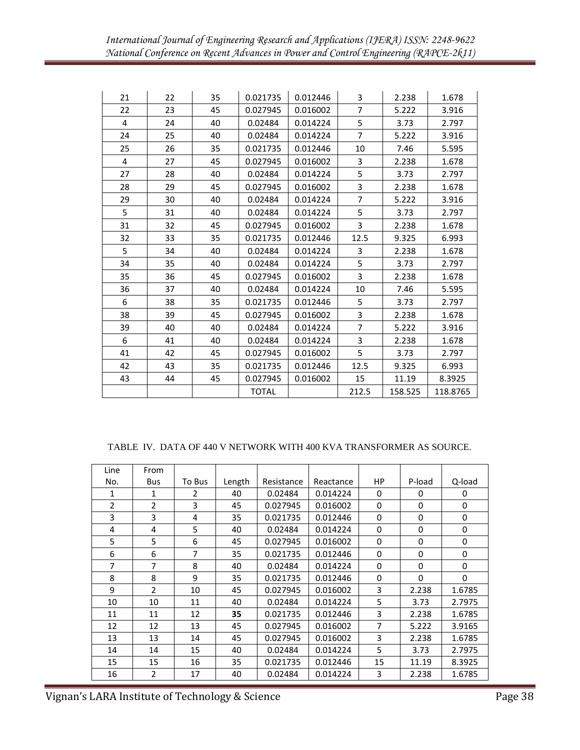| 21 | 22 | 35 | 0.021735     | 0.012446 | 3              | 2.238   | 1.678    |
|----|----|----|--------------|----------|----------------|---------|----------|
| 22 | 23 | 45 | 0.027945     | 0.016002 | $\overline{7}$ | 5.222   | 3.916    |
| 4  | 24 | 40 | 0.02484      | 0.014224 | 5              | 3.73    | 2.797    |
| 24 | 25 | 40 | 0.02484      | 0.014224 | $\overline{7}$ | 5.222   | 3.916    |
| 25 | 26 | 35 | 0.021735     | 0.012446 | 10             | 7.46    | 5.595    |
| 4  | 27 | 45 | 0.027945     | 0.016002 | 3              | 2.238   | 1.678    |
| 27 | 28 | 40 | 0.02484      | 0.014224 | 5              | 3.73    | 2.797    |
| 28 | 29 | 45 | 0.027945     | 0.016002 | 3              | 2.238   | 1.678    |
| 29 | 30 | 40 | 0.02484      | 0.014224 | $\overline{7}$ | 5.222   | 3.916    |
| 5  | 31 | 40 | 0.02484      | 0.014224 | 5              | 3.73    | 2.797    |
| 31 | 32 | 45 | 0.027945     | 0.016002 | 3              | 2.238   | 1.678    |
| 32 | 33 | 35 | 0.021735     | 0.012446 | 12.5           | 9.325   | 6.993    |
| 5  | 34 | 40 | 0.02484      | 0.014224 | 3              | 2.238   | 1.678    |
| 34 | 35 | 40 | 0.02484      | 0.014224 | 5              | 3.73    | 2.797    |
| 35 | 36 | 45 | 0.027945     | 0.016002 | 3              | 2.238   | 1.678    |
| 36 | 37 | 40 | 0.02484      | 0.014224 | 10             | 7.46    | 5.595    |
| 6  | 38 | 35 | 0.021735     | 0.012446 | 5              | 3.73    | 2.797    |
| 38 | 39 | 45 | 0.027945     | 0.016002 | 3              | 2.238   | 1.678    |
| 39 | 40 | 40 | 0.02484      | 0.014224 | $\overline{7}$ | 5.222   | 3.916    |
| 6  | 41 | 40 | 0.02484      | 0.014224 | 3              | 2.238   | 1.678    |
| 41 | 42 | 45 | 0.027945     | 0.016002 | 5              | 3.73    | 2.797    |
| 42 | 43 | 35 | 0.021735     | 0.012446 | 12.5           | 9.325   | 6.993    |
| 43 | 44 | 45 | 0.027945     | 0.016002 | 15             | 11.19   | 8.3925   |
|    |    |    | <b>TOTAL</b> |          | 212.5          | 158.525 | 118.8765 |

#### TABLE IV. DATA OF 440 V NETWORK WITH 400 KVA TRANSFORMER AS SOURCE.

| Line           | From           |               |        |            |           |             |          |             |
|----------------|----------------|---------------|--------|------------|-----------|-------------|----------|-------------|
| No.            | <b>Bus</b>     | To Bus        | Length | Resistance | Reactance | HP.         | P-load   | Q-load      |
| 1              | 1              | $\mathcal{P}$ | 40     | 0.02484    | 0.014224  | $\Omega$    | 0        | $\Omega$    |
| $\overline{2}$ | $\overline{2}$ | 3             | 45     | 0.027945   | 0.016002  | $\mathbf 0$ | $\Omega$ | $\mathbf 0$ |
| 3              | 3              | 4             | 35     | 0.021735   | 0.012446  | 0           | 0        | 0           |
| 4              | 4              | 5             | 40     | 0.02484    | 0.014224  | 0           | $\Omega$ | 0           |
| 5              | 5              | 6             | 45     | 0.027945   | 0.016002  | $\Omega$    | $\Omega$ | 0           |
| 6              | 6              | 7             | 35     | 0.021735   | 0.012446  | 0           | 0        | 0           |
| 7              | 7              | 8             | 40     | 0.02484    | 0.014224  | 0           | 0        | 0           |
| 8              | 8              | 9             | 35     | 0.021735   | 0.012446  | 0           | 0        | 0           |
| 9              | $\overline{2}$ | 10            | 45     | 0.027945   | 0.016002  | 3           | 2.238    | 1.6785      |
| 10             | 10             | 11            | 40     | 0.02484    | 0.014224  | 5           | 3.73     | 2.7975      |
| 11             | 11             | 12            | 35     | 0.021735   | 0.012446  | 3           | 2.238    | 1.6785      |
| 12             | 12             | 13            | 45     | 0.027945   | 0.016002  | 7           | 5.222    | 3.9165      |
| 13             | 13             | 14            | 45     | 0.027945   | 0.016002  | 3           | 2.238    | 1.6785      |
| 14             | 14             | 15            | 40     | 0.02484    | 0.014224  | 5           | 3.73     | 2.7975      |
| 15             | 15             | 16            | 35     | 0.021735   | 0.012446  | 15          | 11.19    | 8.3925      |
| 16             | $\overline{2}$ | 17            | 40     | 0.02484    | 0.014224  | 3           | 2.238    | 1.6785      |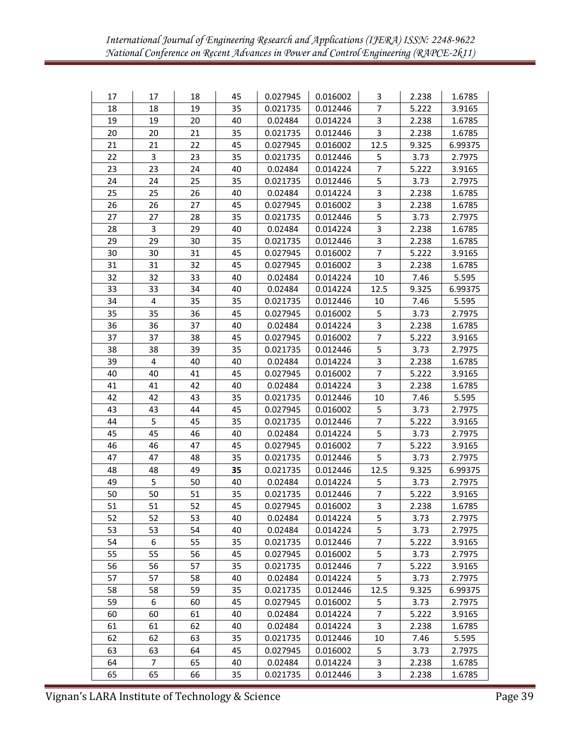| 17 | 17 | 18 | 45 | 0.027945 | 0.016002 | 3              | 2.238 | 1.6785  |
|----|----|----|----|----------|----------|----------------|-------|---------|
| 18 | 18 | 19 | 35 | 0.021735 | 0.012446 | 7              | 5.222 | 3.9165  |
| 19 | 19 | 20 | 40 | 0.02484  | 0.014224 | 3              | 2.238 | 1.6785  |
| 20 | 20 | 21 | 35 | 0.021735 | 0.012446 | 3              | 2.238 | 1.6785  |
| 21 | 21 | 22 | 45 | 0.027945 | 0.016002 | 12.5           | 9.325 | 6.99375 |
| 22 | 3  | 23 | 35 | 0.021735 | 0.012446 | 5              | 3.73  | 2.7975  |
| 23 | 23 | 24 | 40 | 0.02484  | 0.014224 | $\overline{7}$ | 5.222 | 3.9165  |
| 24 | 24 | 25 | 35 | 0.021735 | 0.012446 | 5              | 3.73  | 2.7975  |
| 25 | 25 | 26 | 40 | 0.02484  | 0.014224 | 3              | 2.238 | 1.6785  |
| 26 | 26 | 27 | 45 | 0.027945 | 0.016002 | 3              | 2.238 | 1.6785  |
| 27 | 27 | 28 | 35 | 0.021735 | 0.012446 | 5              | 3.73  | 2.7975  |
| 28 | 3  | 29 | 40 | 0.02484  | 0.014224 | 3              | 2.238 | 1.6785  |
| 29 | 29 | 30 | 35 | 0.021735 | 0.012446 | 3              | 2.238 | 1.6785  |
| 30 | 30 | 31 | 45 | 0.027945 | 0.016002 | 7              | 5.222 | 3.9165  |
| 31 | 31 | 32 | 45 | 0.027945 | 0.016002 | 3              | 2.238 | 1.6785  |
| 32 | 32 | 33 | 40 | 0.02484  | 0.014224 | $10\,$         | 7.46  | 5.595   |
| 33 | 33 | 34 | 40 | 0.02484  | 0.014224 | 12.5           | 9.325 | 6.99375 |
| 34 | 4  | 35 | 35 | 0.021735 | 0.012446 | 10             | 7.46  | 5.595   |
| 35 | 35 | 36 | 45 | 0.027945 | 0.016002 | 5              | 3.73  | 2.7975  |
| 36 | 36 | 37 | 40 | 0.02484  | 0.014224 | 3              | 2.238 | 1.6785  |
| 37 | 37 | 38 | 45 | 0.027945 | 0.016002 | $\overline{7}$ | 5.222 | 3.9165  |
| 38 | 38 | 39 | 35 | 0.021735 | 0.012446 | 5              | 3.73  | 2.7975  |
| 39 | 4  | 40 | 40 | 0.02484  | 0.014224 | 3              | 2.238 | 1.6785  |
| 40 | 40 | 41 | 45 | 0.027945 | 0.016002 | $\overline{7}$ | 5.222 | 3.9165  |
| 41 | 41 | 42 | 40 | 0.02484  | 0.014224 | 3              | 2.238 | 1.6785  |
| 42 | 42 | 43 | 35 | 0.021735 | 0.012446 | 10             | 7.46  | 5.595   |
| 43 | 43 | 44 | 45 | 0.027945 | 0.016002 | 5              | 3.73  | 2.7975  |
| 44 | 5  | 45 | 35 | 0.021735 | 0.012446 | 7              | 5.222 | 3.9165  |
| 45 | 45 | 46 | 40 | 0.02484  | 0.014224 | 5              | 3.73  | 2.7975  |
| 46 | 46 | 47 | 45 | 0.027945 | 0.016002 | $\overline{7}$ | 5.222 | 3.9165  |
| 47 | 47 | 48 | 35 | 0.021735 | 0.012446 | 5              | 3.73  | 2.7975  |
| 48 | 48 | 49 | 35 | 0.021735 | 0.012446 | 12.5           | 9.325 | 6.99375 |
| 49 | 5  | 50 | 40 | 0.02484  | 0.014224 | 5              | 3.73  | 2.7975  |
| 50 | 50 | 51 | 35 | 0.021735 | 0.012446 | 7              | 5.222 | 3.9165  |
| 51 | 51 | 52 | 45 | 0.027945 | 0.016002 | 3              | 2.238 | 1.6785  |
| 52 | 52 | 53 | 40 | 0.02484  | 0.014224 | 5              | 3.73  | 2.7975  |
| 53 | 53 | 54 | 40 | 0.02484  | 0.014224 | 5              | 3.73  | 2.7975  |
| 54 | 6  | 55 | 35 | 0.021735 | 0.012446 | 7              | 5.222 | 3.9165  |
| 55 | 55 | 56 | 45 | 0.027945 | 0.016002 | 5              | 3.73  | 2.7975  |
| 56 | 56 | 57 | 35 | 0.021735 | 0.012446 | $\overline{7}$ | 5.222 | 3.9165  |
| 57 | 57 | 58 | 40 | 0.02484  | 0.014224 | 5              | 3.73  | 2.7975  |
| 58 | 58 | 59 | 35 | 0.021735 | 0.012446 | 12.5           | 9.325 | 6.99375 |
| 59 | 6  | 60 | 45 | 0.027945 | 0.016002 | 5              | 3.73  | 2.7975  |
| 60 | 60 | 61 | 40 | 0.02484  | 0.014224 | 7              | 5.222 | 3.9165  |
| 61 | 61 | 62 | 40 | 0.02484  | 0.014224 | 3              | 2.238 | 1.6785  |
| 62 | 62 | 63 | 35 | 0.021735 | 0.012446 | 10             | 7.46  | 5.595   |
| 63 | 63 | 64 | 45 | 0.027945 | 0.016002 | 5              | 3.73  | 2.7975  |
| 64 | 7  | 65 | 40 | 0.02484  | 0.014224 | 3              | 2.238 | 1.6785  |
| 65 | 65 | 66 | 35 | 0.021735 | 0.012446 | 3              | 2.238 | 1.6785  |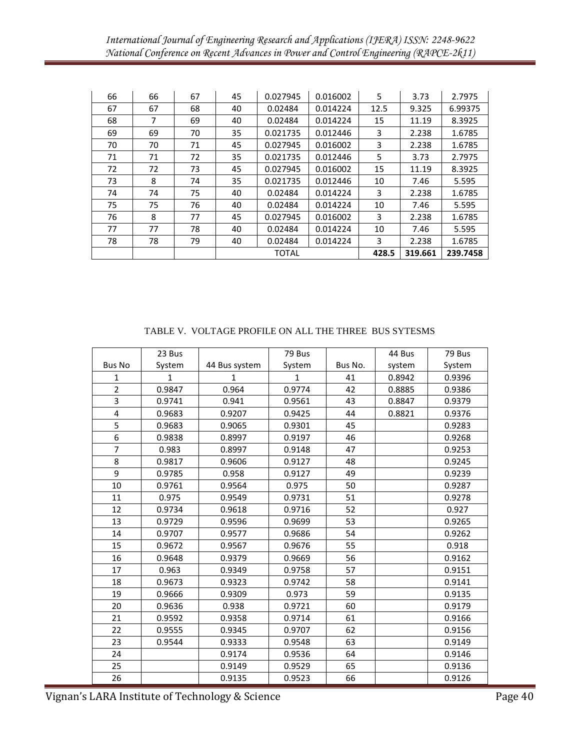| 66 | 66 | 67 | 45           | 0.027945 | 0.016002 | 5     | 3.73    | 2.7975   |
|----|----|----|--------------|----------|----------|-------|---------|----------|
| 67 | 67 | 68 | 40           | 0.02484  | 0.014224 | 12.5  | 9.325   | 6.99375  |
| 68 | 7  | 69 | 40           | 0.02484  | 0.014224 | 15    | 11.19   | 8.3925   |
| 69 | 69 | 70 | 35           | 0.021735 | 0.012446 | 3     | 2.238   | 1.6785   |
| 70 | 70 | 71 | 45           | 0.027945 | 0.016002 | 3     | 2.238   | 1.6785   |
| 71 | 71 | 72 | 35           | 0.021735 | 0.012446 | 5     | 3.73    | 2.7975   |
| 72 | 72 | 73 | 45           | 0.027945 | 0.016002 | 15    | 11.19   | 8.3925   |
| 73 | 8  | 74 | 35           | 0.021735 | 0.012446 | 10    | 7.46    | 5.595    |
| 74 | 74 | 75 | 40           | 0.02484  | 0.014224 | 3     | 2.238   | 1.6785   |
| 75 | 75 | 76 | 40           | 0.02484  | 0.014224 | 10    | 7.46    | 5.595    |
| 76 | 8  | 77 | 45           | 0.027945 | 0.016002 | 3     | 2.238   | 1.6785   |
| 77 | 77 | 78 | 40           | 0.02484  | 0.014224 | 10    | 7.46    | 5.595    |
| 78 | 78 | 79 | 40           | 0.02484  | 0.014224 | 3     | 2.238   | 1.6785   |
|    |    |    | <b>TOTAL</b> |          |          | 428.5 | 319.661 | 239.7458 |

|                         | 23 Bus |               | 79 Bus |         | 44 Bus | 79 Bus |
|-------------------------|--------|---------------|--------|---------|--------|--------|
| <b>Bus No</b>           | System | 44 Bus system | System | Bus No. | system | System |
| 1                       | 1      | 1             | 1      | 41      | 0.8942 | 0.9396 |
| $\overline{2}$          | 0.9847 | 0.964         | 0.9774 | 42      | 0.8885 | 0.9386 |
| 3                       | 0.9741 | 0.941         | 0.9561 | 43      | 0.8847 | 0.9379 |
| $\overline{\mathbf{4}}$ | 0.9683 | 0.9207        | 0.9425 | 44      | 0.8821 | 0.9376 |
| 5                       | 0.9683 | 0.9065        | 0.9301 | 45      |        | 0.9283 |
| 6                       | 0.9838 | 0.8997        | 0.9197 | 46      |        | 0.9268 |
| $\overline{7}$          | 0.983  | 0.8997        | 0.9148 | 47      |        | 0.9253 |
| 8                       | 0.9817 | 0.9606        | 0.9127 | 48      |        | 0.9245 |
| 9                       | 0.9785 | 0.958         | 0.9127 | 49      |        | 0.9239 |
| 10                      | 0.9761 | 0.9564        | 0.975  | 50      |        | 0.9287 |
| 11                      | 0.975  | 0.9549        | 0.9731 | 51      |        | 0.9278 |
| 12                      | 0.9734 | 0.9618        | 0.9716 | 52      |        | 0.927  |
| 13                      | 0.9729 | 0.9596        | 0.9699 | 53      |        | 0.9265 |
| 14                      | 0.9707 | 0.9577        | 0.9686 | 54      |        | 0.9262 |
| 15                      | 0.9672 | 0.9567        | 0.9676 | 55      |        | 0.918  |
| 16                      | 0.9648 | 0.9379        | 0.9669 | 56      |        | 0.9162 |
| 17                      | 0.963  | 0.9349        | 0.9758 | 57      |        | 0.9151 |
| 18                      | 0.9673 | 0.9323        | 0.9742 | 58      |        | 0.9141 |
| 19                      | 0.9666 | 0.9309        | 0.973  | 59      |        | 0.9135 |
| 20                      | 0.9636 | 0.938         | 0.9721 | 60      |        | 0.9179 |
| 21                      | 0.9592 | 0.9358        | 0.9714 | 61      |        | 0.9166 |
| 22                      | 0.9555 | 0.9345        | 0.9707 | 62      |        | 0.9156 |
| 23                      | 0.9544 | 0.9333        | 0.9548 | 63      |        | 0.9149 |
| 24                      |        | 0.9174        | 0.9536 | 64      |        | 0.9146 |
| 25                      |        | 0.9149        | 0.9529 | 65      |        | 0.9136 |
| 26                      |        | 0.9135        | 0.9523 | 66      |        | 0.9126 |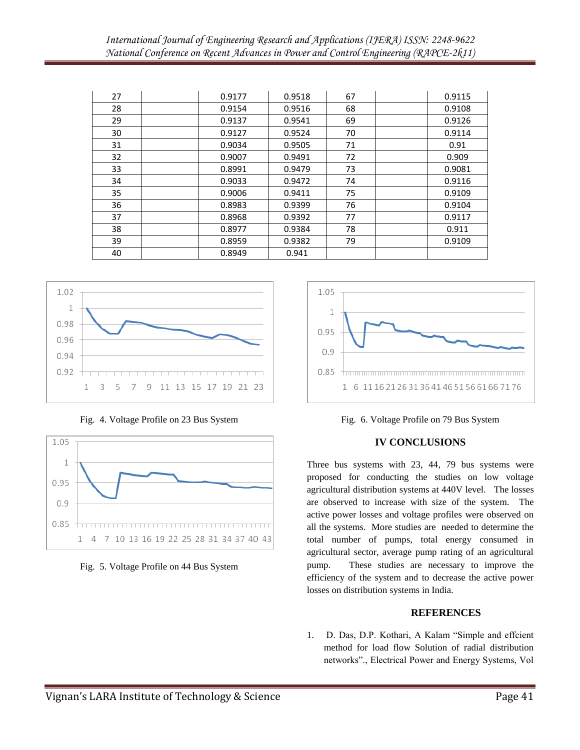| 27 | 0.9177 | 0.9518 | 67 | 0.9115 |
|----|--------|--------|----|--------|
| 28 | 0.9154 | 0.9516 | 68 | 0.9108 |
| 29 | 0.9137 | 0.9541 | 69 | 0.9126 |
| 30 | 0.9127 | 0.9524 | 70 | 0.9114 |
| 31 | 0.9034 | 0.9505 | 71 | 0.91   |
| 32 | 0.9007 | 0.9491 | 72 | 0.909  |
| 33 | 0.8991 | 0.9479 | 73 | 0.9081 |
| 34 | 0.9033 | 0.9472 | 74 | 0.9116 |
| 35 | 0.9006 | 0.9411 | 75 | 0.9109 |
| 36 | 0.8983 | 0.9399 | 76 | 0.9104 |
| 37 | 0.8968 | 0.9392 | 77 | 0.9117 |
| 38 | 0.8977 | 0.9384 | 78 | 0.911  |
| 39 | 0.8959 | 0.9382 | 79 | 0.9109 |
| 40 | 0.8949 | 0.941  |    |        |



Fig. 4. Voltage Profile on 23 Bus System









## **IV CONCLUSIONS**

Three bus systems with 23, 44, 79 bus systems were proposed for conducting the studies on low voltage agricultural distribution systems at 440V level. The losses are observed to increase with size of the system. The active power losses and voltage profiles were observed on all the systems. More studies are needed to determine the total number of pumps, total energy consumed in agricultural sector, average pump rating of an agricultural pump. These studies are necessary to improve the efficiency of the system and to decrease the active power losses on distribution systems in India.

## **REFERENCES**

1. D. Das, D.P. Kothari, A Kalam "Simple and effcient method for load flow Solution of radial distribution networks"., Electrical Power and Energy Systems, Vol